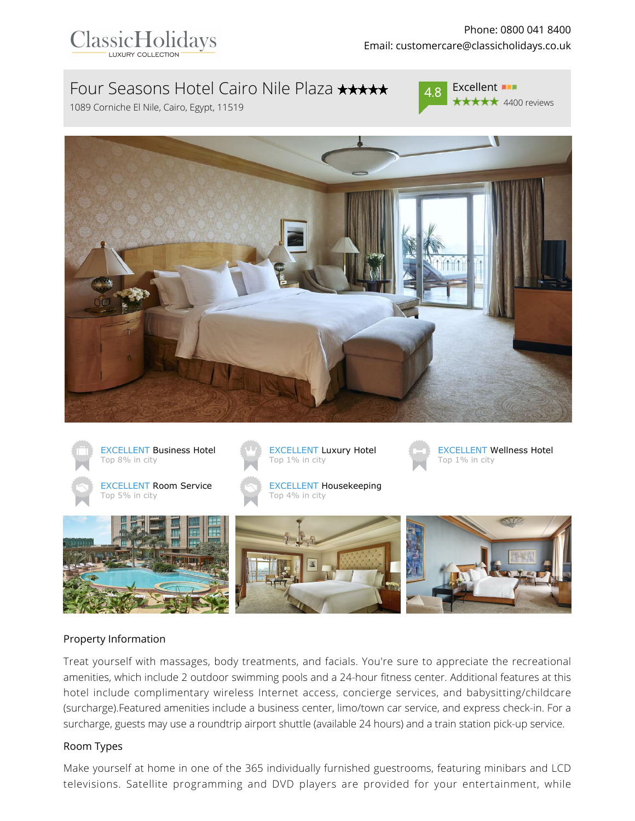

# Four Seasons Hotel Cairo Nile Plaza \*\*\*\*\*

1089 Corniche El Nile, Cairo, Egypt, 11519







### Property Information

Treat yourself with massages, body treatments, and facials. You're sure to appreciate the recreational amenities, which include 2 outdoor swimming pools and a 24-hour fitness center. Additional features at this hotel include complimentary wireless Internet access, concierge services, and babysitting/childcare (surcharge).Featured amenities include a business center, limo/town car service, and express check-in. For a surcharge, guests may use a roundtrip airport shuttle (available 24 hours) and a train station pick-up service.

### Room Types

Make yourself at home in one of the 365 individually furnished guestrooms, featuring minibars and LCD televisions. Satellite programming and DVD players are provided for your entertainment, while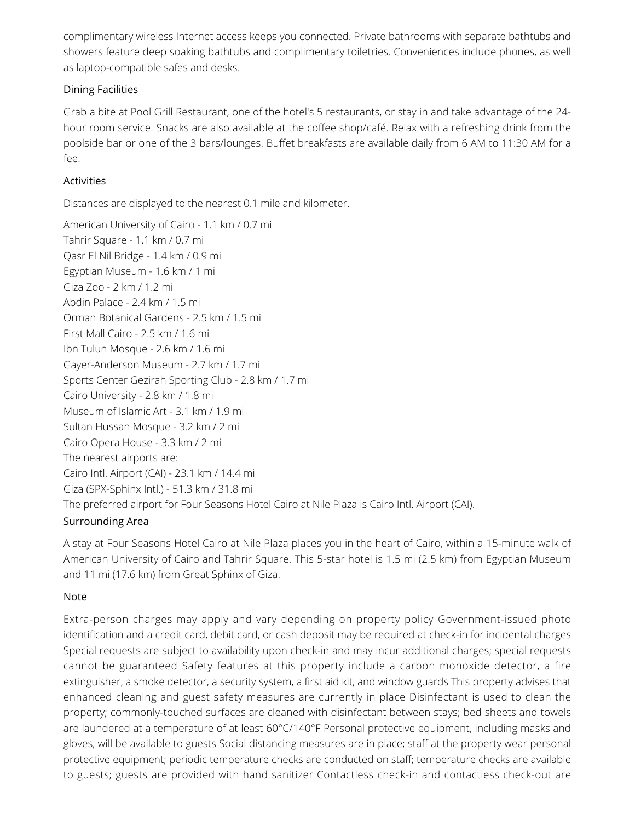complimentary wireless Internet access keeps you connected. Private bathrooms with separate bathtubs and showers feature deep soaking bathtubs and complimentary toiletries. Conveniences include phones, as well as laptop-compatible safes and desks.

## Dining Facilities

Grab a bite at Pool Grill Restaurant, one of the hotel's 5 restaurants, or stay in and take advantage of the 24 hour room service. Snacks are also available at the coffee shop/café. Relax with a refreshing drink from the poolside bar or one of the 3 bars/lounges. Buffet breakfasts are available daily from 6 AM to 11:30 AM for a fee.

## **Activities**

Distances are displayed to the nearest 0.1 mile and kilometer.

American University of Cairo - 1.1 km / 0.7 mi Tahrir Square - 1.1 km / 0.7 mi Qasr El Nil Bridge - 1.4 km / 0.9 mi Egyptian Museum - 1.6 km / 1 mi Giza Zoo - 2 km / 1.2 mi Abdin Palace - 2.4 km / 1.5 mi Orman Botanical Gardens - 2.5 km / 1.5 mi First Mall Cairo - 2.5 km / 1.6 mi Ibn Tulun Mosque - 2.6 km / 1.6 mi Gayer-Anderson Museum - 2.7 km / 1.7 mi Sports Center Gezirah Sporting Club - 2.8 km / 1.7 mi Cairo University - 2.8 km / 1.8 mi Museum of Islamic Art - 3.1 km / 1.9 mi Sultan Hussan Mosque - 3.2 km / 2 mi Cairo Opera House - 3.3 km / 2 mi The nearest airports are: Cairo Intl. Airport (CAI) - 23.1 km / 14.4 mi Giza (SPX-Sphinx Intl.) - 51.3 km / 31.8 mi The preferred airport for Four Seasons Hotel Cairo at Nile Plaza is Cairo Intl. Airport (CAI).

## Surrounding Area

A stay at Four Seasons Hotel Cairo at Nile Plaza places you in the heart of Cairo, within a 15-minute walk of American University of Cairo and Tahrir Square. This 5-star hotel is 1.5 mi (2.5 km) from Egyptian Museum and 11 mi (17.6 km) from Great Sphinx of Giza.

### Note

Extra-person charges may apply and vary depending on property policy Government-issued photo identification and a credit card, debit card, or cash deposit may be required at check-in for incidental charges Special requests are subject to availability upon check-in and may incur additional charges; special requests cannot be guaranteed Safety features at this property include a carbon monoxide detector, a fire extinguisher, a smoke detector, a security system, a first aid kit, and window guards This property advises that enhanced cleaning and guest safety measures are currently in place Disinfectant is used to clean the property; commonly-touched surfaces are cleaned with disinfectant between stays; bed sheets and towels are laundered at a temperature of at least 60°C/140°F Personal protective equipment, including masks and gloves, will be available to guests Social distancing measures are in place; staff at the property wear personal protective equipment; periodic temperature checks are conducted on staff; temperature checks are available to guests; guests are provided with hand sanitizer Contactless check-in and contactless check-out are